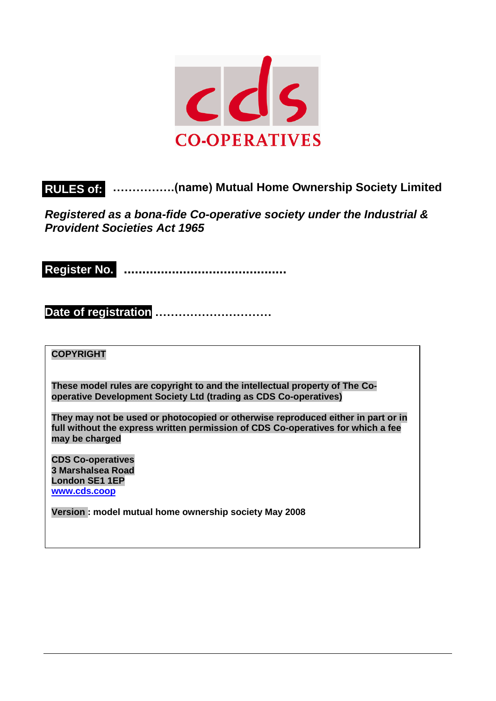

# **…………….(name) Mutual Home Ownership Society Limited RULES of:**

*Registered as a bona-fide Co-operative society under the Industrial & Provident Societies Act 1965*

**............................................ Register No.**

**Date of registration ……………………………..**

**COPYRIGHT**

**These model rules are copyright to and the intellectual property of The Cooperative Development Society Ltd (trading as CDS Co-operatives)**

**They may not be used or photocopied or otherwise reproduced either in part or in full without the express written permission of CDS Co-operatives for which a fee may be charged**

**CDS Co-operatives 3 Marshalsea Road London SE1 1EP [www.cds.coop](http://www.cds.coop/)**

**Version : model mutual home ownership society May 2008**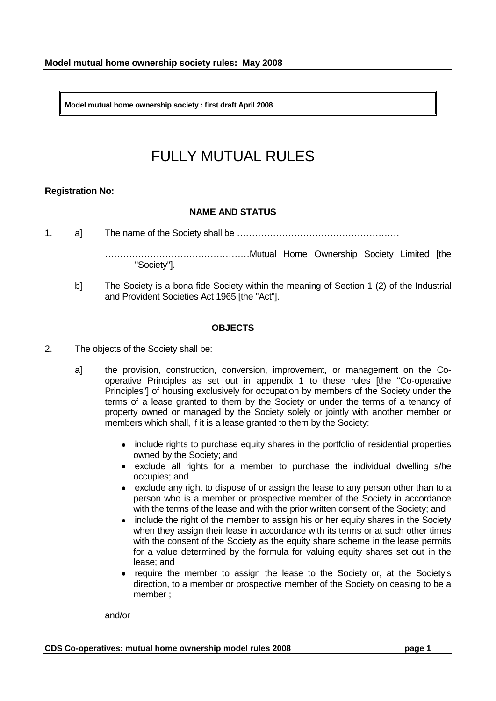**Model mutual home ownership society : first draft April 2008** 

# FULLY MUTUAL RULES

# **Registration No:**

### **NAME AND STATUS**

1. a] The name of the Society shall be ………………………………………………

…………………………………………Mutual Home Ownership Society Limited [the "Society"].

b] The Society is a bona fide Society within the meaning of Section 1 (2) of the Industrial and Provident Societies Act 1965 [the "Act"].

### **OBJECTS**

- 2. The objects of the Society shall be:
	- a] the provision, construction, conversion, improvement, or management on the Cooperative Principles as set out in appendix 1 to these rules [the "Co-operative Principles"] of housing exclusively for occupation by members of the Society under the terms of a lease granted to them by the Society or under the terms of a tenancy of property owned or managed by the Society solely or jointly with another member or members which shall, if it is a lease granted to them by the Society:
		- include rights to purchase equity shares in the portfolio of residential properties owned by the Society; and
		- exclude all rights for a member to purchase the individual dwelling s/he occupies; and
		- exclude any right to dispose of or assign the lease to any person other than to a person who is a member or prospective member of the Society in accordance with the terms of the lease and with the prior written consent of the Society; and
		- include the right of the member to assign his or her equity shares in the Society when they assign their lease in accordance with its terms or at such other times with the consent of the Society as the equity share scheme in the lease permits for a value determined by the formula for valuing equity shares set out in the lease; and
		- require the member to assign the lease to the Society or, at the Society's direction, to a member or prospective member of the Society on ceasing to be a member ;

and/or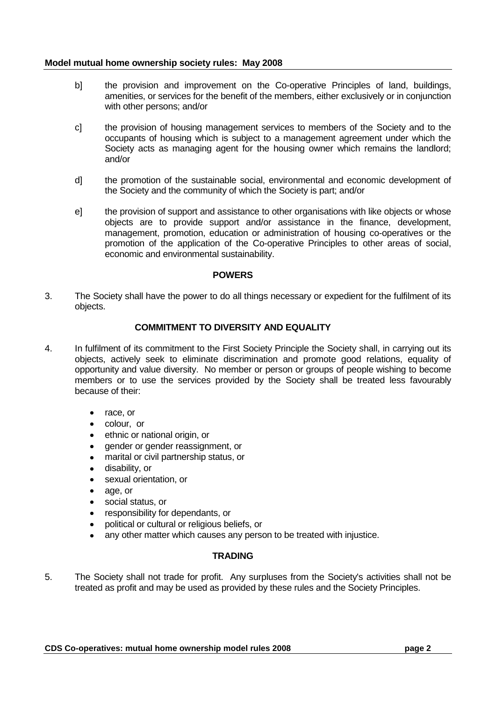- b] the provision and improvement on the Co-operative Principles of land, buildings, amenities, or services for the benefit of the members, either exclusively or in conjunction with other persons; and/or
- c] the provision of housing management services to members of the Society and to the occupants of housing which is subject to a management agreement under which the Society acts as managing agent for the housing owner which remains the landlord; and/or
- d] the promotion of the sustainable social, environmental and economic development of the Society and the community of which the Society is part; and/or
- e] the provision of support and assistance to other organisations with like objects or whose objects are to provide support and/or assistance in the finance, development, management, promotion, education or administration of housing co-operatives or the promotion of the application of the Co-operative Principles to other areas of social, economic and environmental sustainability.

#### **POWERS**

3. The Society shall have the power to do all things necessary or expedient for the fulfilment of its objects.

# **COMMITMENT TO DIVERSITY AND EQUALITY**

- 4. In fulfilment of its commitment to the First Society Principle the Society shall, in carrying out its objects, actively seek to eliminate discrimination and promote good relations, equality of opportunity and value diversity. No member or person or groups of people wishing to become members or to use the services provided by the Society shall be treated less favourably because of their:
	- $\bullet$ race, or
	- colour, or
	- ethnic or national origin, or
	- gender or gender reassignment, or
	- marital or civil partnership status, or
	- disability, or
	- sexual orientation, or
	- age, or
	- social status, or
	- responsibility for dependants, or
	- political or cultural or religious beliefs, or
	- any other matter which causes any person to be treated with injustice.

# **TRADING**

5. The Society shall not trade for profit. Any surpluses from the Society's activities shall not be treated as profit and may be used as provided by these rules and the Society Principles.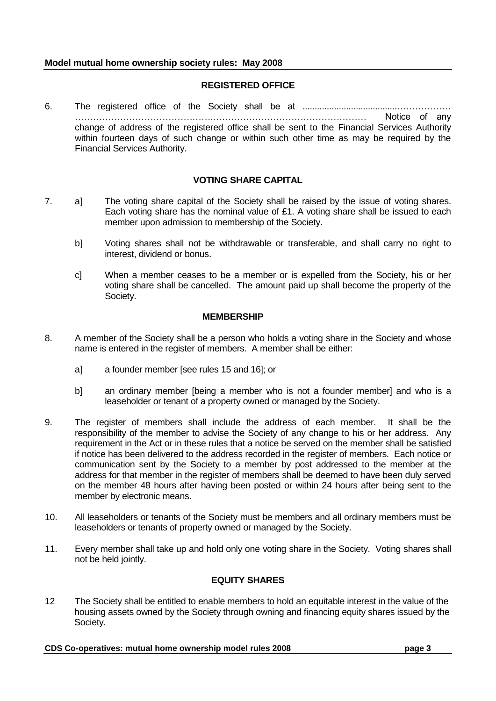# **REGISTERED OFFICE**

6. The registered office of the Society shall be at .......................................……………… ……………………………………….…………………………………………… Notice of any change of address of the registered office shall be sent to the Financial Services Authority within fourteen days of such change or within such other time as may be required by the Financial Services Authority.

# **VOTING SHARE CAPITAL**

- 7. a] The voting share capital of the Society shall be raised by the issue of voting shares. Each voting share has the nominal value of £1. A voting share shall be issued to each member upon admission to membership of the Society.
	- b] Voting shares shall not be withdrawable or transferable, and shall carry no right to interest, dividend or bonus.
	- c] When a member ceases to be a member or is expelled from the Society, his or her voting share shall be cancelled. The amount paid up shall become the property of the Society.

### **MEMBERSHIP**

- 8. A member of the Society shall be a person who holds a voting share in the Society and whose name is entered in the register of members. A member shall be either:
	- a] a founder member [see rules 15 and 16]; or
	- b] an ordinary member [being a member who is not a founder member] and who is a leaseholder or tenant of a property owned or managed by the Society.
- 9. The register of members shall include the address of each member. It shall be the responsibility of the member to advise the Society of any change to his or her address. Any requirement in the Act or in these rules that a notice be served on the member shall be satisfied if notice has been delivered to the address recorded in the register of members. Each notice or communication sent by the Society to a member by post addressed to the member at the address for that member in the register of members shall be deemed to have been duly served on the member 48 hours after having been posted or within 24 hours after being sent to the member by electronic means.
- 10. All leaseholders or tenants of the Society must be members and all ordinary members must be leaseholders or tenants of property owned or managed by the Society.
- 11. Every member shall take up and hold only one voting share in the Society. Voting shares shall not be held jointly.

# **EQUITY SHARES**

12 The Society shall be entitled to enable members to hold an equitable interest in the value of the housing assets owned by the Society through owning and financing equity shares issued by the Society.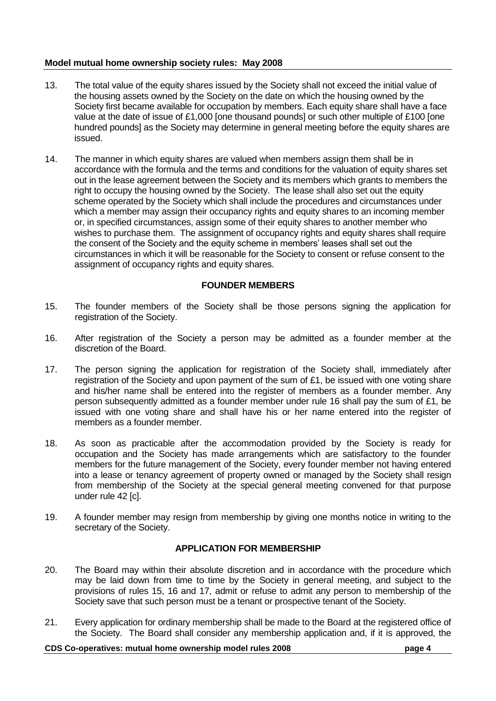- 13. The total value of the equity shares issued by the Society shall not exceed the initial value of the housing assets owned by the Society on the date on which the housing owned by the Society first became available for occupation by members. Each equity share shall have a face value at the date of issue of £1,000 [one thousand pounds] or such other multiple of £100 [one hundred pounds] as the Society may determine in general meeting before the equity shares are issued.
- 14. The manner in which equity shares are valued when members assign them shall be in accordance with the formula and the terms and conditions for the valuation of equity shares set out in the lease agreement between the Society and its members which grants to members the right to occupy the housing owned by the Society. The lease shall also set out the equity scheme operated by the Society which shall include the procedures and circumstances under which a member may assign their occupancy rights and equity shares to an incoming member or, in specified circumstances, assign some of their equity shares to another member who wishes to purchase them. The assignment of occupancy rights and equity shares shall require the consent of the Society and the equity scheme in members" leases shall set out the circumstances in which it will be reasonable for the Society to consent or refuse consent to the assignment of occupancy rights and equity shares.

### **FOUNDER MEMBERS**

- 15. The founder members of the Society shall be those persons signing the application for registration of the Society.
- 16. After registration of the Society a person may be admitted as a founder member at the discretion of the Board.
- 17. The person signing the application for registration of the Society shall, immediately after registration of the Society and upon payment of the sum of £1, be issued with one voting share and his/her name shall be entered into the register of members as a founder member. Any person subsequently admitted as a founder member under rule 16 shall pay the sum of £1, be issued with one voting share and shall have his or her name entered into the register of members as a founder member.
- 18. As soon as practicable after the accommodation provided by the Society is ready for occupation and the Society has made arrangements which are satisfactory to the founder members for the future management of the Society, every founder member not having entered into a lease or tenancy agreement of property owned or managed by the Society shall resign from membership of the Society at the special general meeting convened for that purpose under rule 42 [c].
- 19. A founder member may resign from membership by giving one months notice in writing to the secretary of the Society.

# **APPLICATION FOR MEMBERSHIP**

- 20. The Board may within their absolute discretion and in accordance with the procedure which may be laid down from time to time by the Society in general meeting, and subject to the provisions of rules 15, 16 and 17, admit or refuse to admit any person to membership of the Society save that such person must be a tenant or prospective tenant of the Society.
- 21. Every application for ordinary membership shall be made to the Board at the registered office of the Society. The Board shall consider any membership application and, if it is approved, the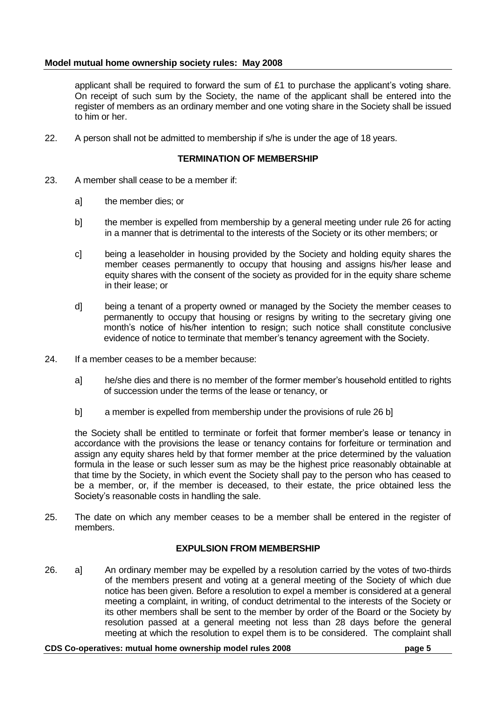applicant shall be required to forward the sum of  $£1$  to purchase the applicant's voting share. On receipt of such sum by the Society, the name of the applicant shall be entered into the register of members as an ordinary member and one voting share in the Society shall be issued to him or her.

22. A person shall not be admitted to membership if s/he is under the age of 18 years.

## **TERMINATION OF MEMBERSHIP**

- 23. A member shall cease to be a member if:
	- a] the member dies; or
	- b] the member is expelled from membership by a general meeting under rule 26 for acting in a manner that is detrimental to the interests of the Society or its other members; or
	- c] being a leaseholder in housing provided by the Society and holding equity shares the member ceases permanently to occupy that housing and assigns his/her lease and equity shares with the consent of the society as provided for in the equity share scheme in their lease; or
	- d] being a tenant of a property owned or managed by the Society the member ceases to permanently to occupy that housing or resigns by writing to the secretary giving one month"s notice of his/her intention to resign; such notice shall constitute conclusive evidence of notice to terminate that member"s tenancy agreement with the Society.
- 24. If a member ceases to be a member because:
	- a] he/she dies and there is no member of the former member"s household entitled to rights of succession under the terms of the lease or tenancy, or
	- b] a member is expelled from membership under the provisions of rule 26 b]

the Society shall be entitled to terminate or forfeit that former member"s lease or tenancy in accordance with the provisions the lease or tenancy contains for forfeiture or termination and assign any equity shares held by that former member at the price determined by the valuation formula in the lease or such lesser sum as may be the highest price reasonably obtainable at that time by the Society, in which event the Society shall pay to the person who has ceased to be a member, or, if the member is deceased, to their estate, the price obtained less the Society"s reasonable costs in handling the sale.

25. The date on which any member ceases to be a member shall be entered in the register of members.

# **EXPULSION FROM MEMBERSHIP**

26. a] An ordinary member may be expelled by a resolution carried by the votes of two-thirds of the members present and voting at a general meeting of the Society of which due notice has been given. Before a resolution to expel a member is considered at a general meeting a complaint, in writing, of conduct detrimental to the interests of the Society or its other members shall be sent to the member by order of the Board or the Society by resolution passed at a general meeting not less than 28 days before the general meeting at which the resolution to expel them is to be considered. The complaint shall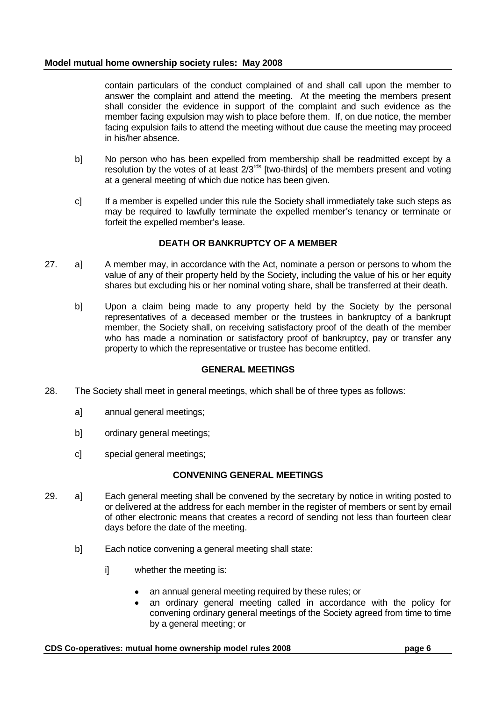contain particulars of the conduct complained of and shall call upon the member to answer the complaint and attend the meeting. At the meeting the members present shall consider the evidence in support of the complaint and such evidence as the member facing expulsion may wish to place before them. If, on due notice, the member facing expulsion fails to attend the meeting without due cause the meeting may proceed in his/her absence.

- b] No person who has been expelled from membership shall be readmitted except by a resolution by the votes of at least  $2/3^{rds}$  [two-thirds] of the members present and voting at a general meeting of which due notice has been given.
- c] If a member is expelled under this rule the Society shall immediately take such steps as may be required to lawfully terminate the expelled member"s tenancy or terminate or forfeit the expelled member"s lease.

# **DEATH OR BANKRUPTCY OF A MEMBER**

- 27. a] A member may, in accordance with the Act, nominate a person or persons to whom the value of any of their property held by the Society, including the value of his or her equity shares but excluding his or her nominal voting share, shall be transferred at their death.
	- b] Upon a claim being made to any property held by the Society by the personal representatives of a deceased member or the trustees in bankruptcy of a bankrupt member, the Society shall, on receiving satisfactory proof of the death of the member who has made a nomination or satisfactory proof of bankruptcy, pay or transfer any property to which the representative or trustee has become entitled.

#### **GENERAL MEETINGS**

- 28. The Society shall meet in general meetings, which shall be of three types as follows:
	- a] annual general meetings;
	- b] ordinary general meetings;
	- c] special general meetings;

# **CONVENING GENERAL MEETINGS**

- 29. a] Each general meeting shall be convened by the secretary by notice in writing posted to or delivered at the address for each member in the register of members or sent by email of other electronic means that creates a record of sending not less than fourteen clear days before the date of the meeting.
	- b] Each notice convening a general meeting shall state:
		- i] whether the meeting is:
			- an annual general meeting required by these rules; or
			- an ordinary general meeting called in accordance with the policy for convening ordinary general meetings of the Society agreed from time to time by a general meeting; or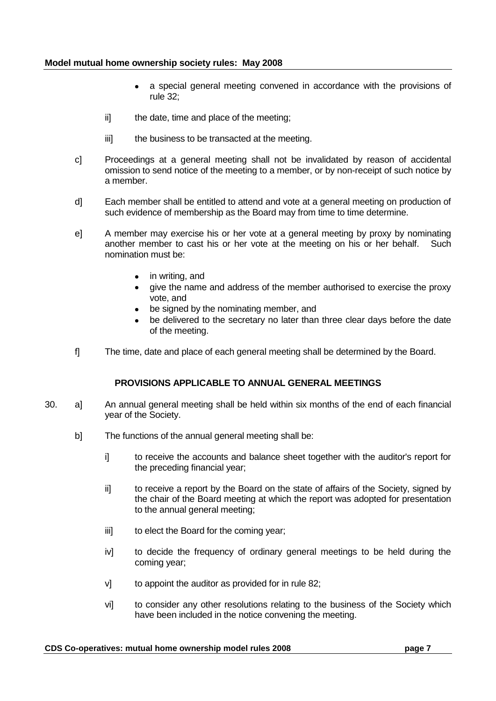- a special general meeting convened in accordance with the provisions of rule 32;
- ii] the date, time and place of the meeting;
- iii] the business to be transacted at the meeting.
- c] Proceedings at a general meeting shall not be invalidated by reason of accidental omission to send notice of the meeting to a member, or by non-receipt of such notice by a member.
- d] Each member shall be entitled to attend and vote at a general meeting on production of such evidence of membership as the Board may from time to time determine.
- e] A member may exercise his or her vote at a general meeting by proxy by nominating another member to cast his or her vote at the meeting on his or her behalf. Such nomination must be:
	- in writing, and
	- give the name and address of the member authorised to exercise the proxy vote, and
	- be signed by the nominating member, and
	- be delivered to the secretary no later than three clear days before the date of the meeting.
- f] The time, date and place of each general meeting shall be determined by the Board.

# **PROVISIONS APPLICABLE TO ANNUAL GENERAL MEETINGS**

- 30. a] An annual general meeting shall be held within six months of the end of each financial year of the Society.
	- b] The functions of the annual general meeting shall be:
		- i] to receive the accounts and balance sheet together with the auditor's report for the preceding financial year;
		- ii] to receive a report by the Board on the state of affairs of the Society, signed by the chair of the Board meeting at which the report was adopted for presentation to the annual general meeting;
		- iii] to elect the Board for the coming year;
		- iv] to decide the frequency of ordinary general meetings to be held during the coming year;
		- v] to appoint the auditor as provided for in rule 82;
		- vi] to consider any other resolutions relating to the business of the Society which have been included in the notice convening the meeting.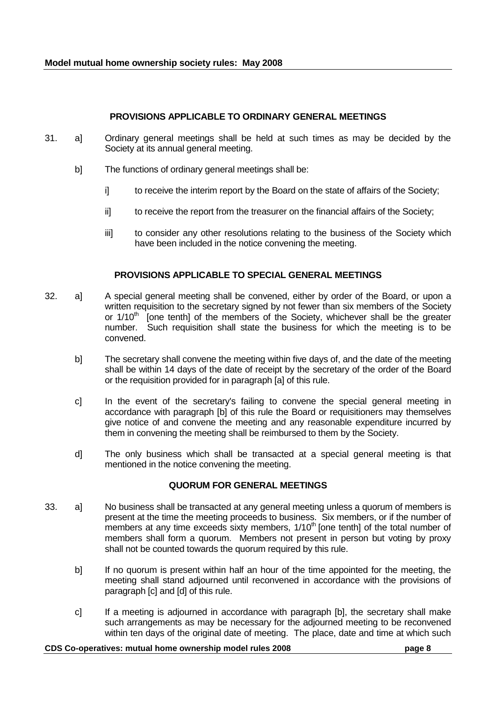# **PROVISIONS APPLICABLE TO ORDINARY GENERAL MEETINGS**

- 31. a] Ordinary general meetings shall be held at such times as may be decided by the Society at its annual general meeting.
	- b] The functions of ordinary general meetings shall be:
		- i] to receive the interim report by the Board on the state of affairs of the Society;
		- ii] to receive the report from the treasurer on the financial affairs of the Society;
		- iii] to consider any other resolutions relating to the business of the Society which have been included in the notice convening the meeting.

# **PROVISIONS APPLICABLE TO SPECIAL GENERAL MEETINGS**

- 32. a] A special general meeting shall be convened, either by order of the Board, or upon a written requisition to the secretary signed by not fewer than six members of the Society or  $1/10<sup>th</sup>$  [one tenth] of the members of the Society, whichever shall be the greater number. Such requisition shall state the business for which the meeting is to be convened.
	- b] The secretary shall convene the meeting within five days of, and the date of the meeting shall be within 14 days of the date of receipt by the secretary of the order of the Board or the requisition provided for in paragraph [a] of this rule.
	- c] In the event of the secretary's failing to convene the special general meeting in accordance with paragraph [b] of this rule the Board or requisitioners may themselves give notice of and convene the meeting and any reasonable expenditure incurred by them in convening the meeting shall be reimbursed to them by the Society.
	- d] The only business which shall be transacted at a special general meeting is that mentioned in the notice convening the meeting.

# **QUORUM FOR GENERAL MEETINGS**

- 33. a] No business shall be transacted at any general meeting unless a quorum of members is present at the time the meeting proceeds to business. Six members, or if the number of members at any time exceeds sixty members,  $1/10<sup>th</sup>$  [one tenth] of the total number of members shall form a quorum. Members not present in person but voting by proxy shall not be counted towards the quorum required by this rule.
	- b] If no quorum is present within half an hour of the time appointed for the meeting, the meeting shall stand adjourned until reconvened in accordance with the provisions of paragraph [c] and [d] of this rule.
	- c] If a meeting is adjourned in accordance with paragraph [b], the secretary shall make such arrangements as may be necessary for the adjourned meeting to be reconvened within ten days of the original date of meeting. The place, date and time at which such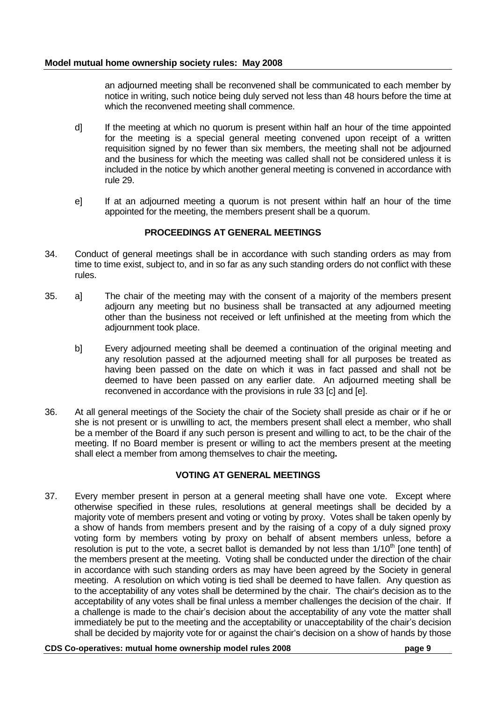an adjourned meeting shall be reconvened shall be communicated to each member by notice in writing, such notice being duly served not less than 48 hours before the time at which the reconvened meeting shall commence.

- d] If the meeting at which no quorum is present within half an hour of the time appointed for the meeting is a special general meeting convened upon receipt of a written requisition signed by no fewer than six members, the meeting shall not be adjourned and the business for which the meeting was called shall not be considered unless it is included in the notice by which another general meeting is convened in accordance with rule 29.
- e] If at an adjourned meeting a quorum is not present within half an hour of the time appointed for the meeting, the members present shall be a quorum.

# **PROCEEDINGS AT GENERAL MEETINGS**

- 34. Conduct of general meetings shall be in accordance with such standing orders as may from time to time exist, subject to, and in so far as any such standing orders do not conflict with these rules.
- 35. a] The chair of the meeting may with the consent of a majority of the members present adjourn any meeting but no business shall be transacted at any adjourned meeting other than the business not received or left unfinished at the meeting from which the adjournment took place.
	- b] Every adjourned meeting shall be deemed a continuation of the original meeting and any resolution passed at the adjourned meeting shall for all purposes be treated as having been passed on the date on which it was in fact passed and shall not be deemed to have been passed on any earlier date. An adjourned meeting shall be reconvened in accordance with the provisions in rule 33 [c] and [e].
- 36. At all general meetings of the Society the chair of the Society shall preside as chair or if he or she is not present or is unwilling to act, the members present shall elect a member, who shall be a member of the Board if any such person is present and willing to act, to be the chair of the meeting. If no Board member is present or willing to act the members present at the meeting shall elect a member from among themselves to chair the meeting**.**

# **VOTING AT GENERAL MEETINGS**

37. Every member present in person at a general meeting shall have one vote. Except where otherwise specified in these rules, resolutions at general meetings shall be decided by a majority vote of members present and voting or voting by proxy. Votes shall be taken openly by a show of hands from members present and by the raising of a copy of a duly signed proxy voting form by members voting by proxy on behalf of absent members unless, before a resolution is put to the vote, a secret ballot is demanded by not less than  $1/10<sup>th</sup>$  [one tenth] of the members present at the meeting. Voting shall be conducted under the direction of the chair in accordance with such standing orders as may have been agreed by the Society in general meeting. A resolution on which voting is tied shall be deemed to have fallen. Any question as to the acceptability of any votes shall be determined by the chair. The chair's decision as to the acceptability of any votes shall be final unless a member challenges the decision of the chair. If a challenge is made to the chair"s decision about the acceptability of any vote the matter shall immediately be put to the meeting and the acceptability or unacceptability of the chair's decision shall be decided by majority vote for or against the chair"s decision on a show of hands by those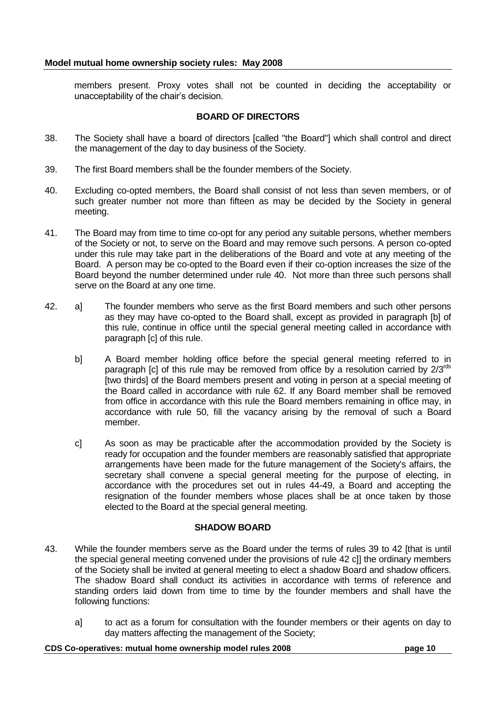members present. Proxy votes shall not be counted in deciding the acceptability or unacceptability of the chair"s decision.

## **BOARD OF DIRECTORS**

- 38. The Society shall have a board of directors [called "the Board"] which shall control and direct the management of the day to day business of the Society.
- 39. The first Board members shall be the founder members of the Society.
- 40. Excluding co-opted members, the Board shall consist of not less than seven members, or of such greater number not more than fifteen as may be decided by the Society in general meeting.
- 41. The Board may from time to time co-opt for any period any suitable persons, whether members of the Society or not, to serve on the Board and may remove such persons. A person co-opted under this rule may take part in the deliberations of the Board and vote at any meeting of the Board. A person may be co-opted to the Board even if their co-option increases the size of the Board beyond the number determined under rule 40. Not more than three such persons shall serve on the Board at any one time.
- 42. a] The founder members who serve as the first Board members and such other persons as they may have co-opted to the Board shall, except as provided in paragraph [b] of this rule, continue in office until the special general meeting called in accordance with paragraph [c] of this rule.
	- b] A Board member holding office before the special general meeting referred to in paragraph [c] of this rule may be removed from office by a resolution carried by  $2/3^{rds}$ [two thirds] of the Board members present and voting in person at a special meeting of the Board called in accordance with rule 62. If any Board member shall be removed from office in accordance with this rule the Board members remaining in office may, in accordance with rule 50, fill the vacancy arising by the removal of such a Board member.
	- c] As soon as may be practicable after the accommodation provided by the Society is ready for occupation and the founder members are reasonably satisfied that appropriate arrangements have been made for the future management of the Society's affairs, the secretary shall convene a special general meeting for the purpose of electing, in accordance with the procedures set out in rules 44-49, a Board and accepting the resignation of the founder members whose places shall be at once taken by those elected to the Board at the special general meeting.

## **SHADOW BOARD**

- 43. While the founder members serve as the Board under the terms of rules 39 to 42 [that is until the special general meeting convened under the provisions of rule 42 c]] the ordinary members of the Society shall be invited at general meeting to elect a shadow Board and shadow officers. The shadow Board shall conduct its activities in accordance with terms of reference and standing orders laid down from time to time by the founder members and shall have the following functions:
	- a] to act as a forum for consultation with the founder members or their agents on day to day matters affecting the management of the Society;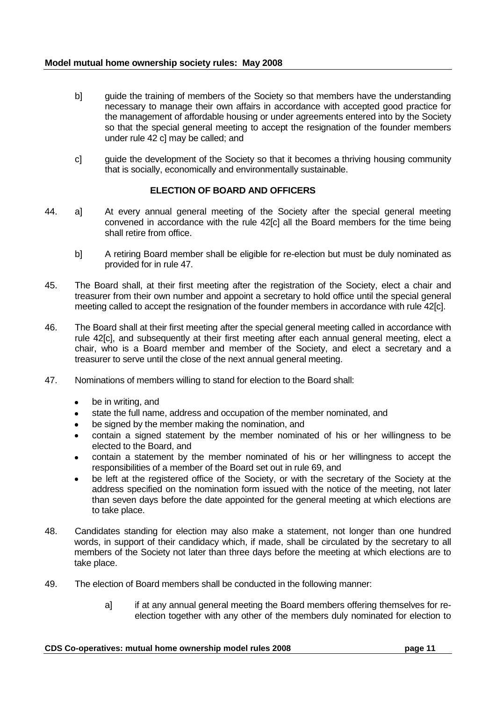- b] guide the training of members of the Society so that members have the understanding necessary to manage their own affairs in accordance with accepted good practice for the management of affordable housing or under agreements entered into by the Society so that the special general meeting to accept the resignation of the founder members under rule 42 c] may be called; and
- c] guide the development of the Society so that it becomes a thriving housing community that is socially, economically and environmentally sustainable.

## **ELECTION OF BOARD AND OFFICERS**

- 44. a] At every annual general meeting of the Society after the special general meeting convened in accordance with the rule 42[c] all the Board members for the time being shall retire from office.
	- b] A retiring Board member shall be eligible for re-election but must be duly nominated as provided for in rule 47.
- 45. The Board shall, at their first meeting after the registration of the Society, elect a chair and treasurer from their own number and appoint a secretary to hold office until the special general meeting called to accept the resignation of the founder members in accordance with rule 42[c].
- 46. The Board shall at their first meeting after the special general meeting called in accordance with rule 42[c], and subsequently at their first meeting after each annual general meeting, elect a chair, who is a Board member and member of the Society, and elect a secretary and a treasurer to serve until the close of the next annual general meeting.
- 47. Nominations of members willing to stand for election to the Board shall:
	- be in writing, and  $\bullet$
	- state the full name, address and occupation of the member nominated, and
	- be signed by the member making the nomination, and
	- contain a signed statement by the member nominated of his or her willingness to be elected to the Board, and
	- contain a statement by the member nominated of his or her willingness to accept the responsibilities of a member of the Board set out in rule 69, and
	- be left at the registered office of the Society, or with the secretary of the Society at the address specified on the nomination form issued with the notice of the meeting, not later than seven days before the date appointed for the general meeting at which elections are to take place.
- 48. Candidates standing for election may also make a statement, not longer than one hundred words, in support of their candidacy which, if made, shall be circulated by the secretary to all members of the Society not later than three days before the meeting at which elections are to take place.
- 49. The election of Board members shall be conducted in the following manner:
	- a] if at any annual general meeting the Board members offering themselves for reelection together with any other of the members duly nominated for election to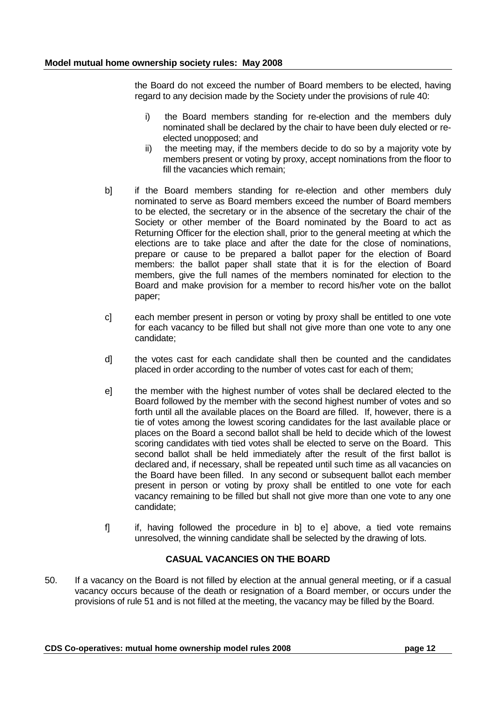the Board do not exceed the number of Board members to be elected, having regard to any decision made by the Society under the provisions of rule 40:

- i) the Board members standing for re-election and the members duly nominated shall be declared by the chair to have been duly elected or reelected unopposed; and
- ii) the meeting may, if the members decide to do so by a majority vote by members present or voting by proxy, accept nominations from the floor to fill the vacancies which remain;
- b] if the Board members standing for re-election and other members duly nominated to serve as Board members exceed the number of Board members to be elected, the secretary or in the absence of the secretary the chair of the Society or other member of the Board nominated by the Board to act as Returning Officer for the election shall, prior to the general meeting at which the elections are to take place and after the date for the close of nominations, prepare or cause to be prepared a ballot paper for the election of Board members: the ballot paper shall state that it is for the election of Board members, give the full names of the members nominated for election to the Board and make provision for a member to record his/her vote on the ballot paper;
- c] each member present in person or voting by proxy shall be entitled to one vote for each vacancy to be filled but shall not give more than one vote to any one candidate;
- d] the votes cast for each candidate shall then be counted and the candidates placed in order according to the number of votes cast for each of them;
- e] the member with the highest number of votes shall be declared elected to the Board followed by the member with the second highest number of votes and so forth until all the available places on the Board are filled. If, however, there is a tie of votes among the lowest scoring candidates for the last available place or places on the Board a second ballot shall be held to decide which of the lowest scoring candidates with tied votes shall be elected to serve on the Board. This second ballot shall be held immediately after the result of the first ballot is declared and, if necessary, shall be repeated until such time as all vacancies on the Board have been filled. In any second or subsequent ballot each member present in person or voting by proxy shall be entitled to one vote for each vacancy remaining to be filled but shall not give more than one vote to any one candidate;
- f] if, having followed the procedure in b] to e] above, a tied vote remains unresolved, the winning candidate shall be selected by the drawing of lots.

# **CASUAL VACANCIES ON THE BOARD**

50. If a vacancy on the Board is not filled by election at the annual general meeting, or if a casual vacancy occurs because of the death or resignation of a Board member, or occurs under the provisions of rule 51 and is not filled at the meeting, the vacancy may be filled by the Board.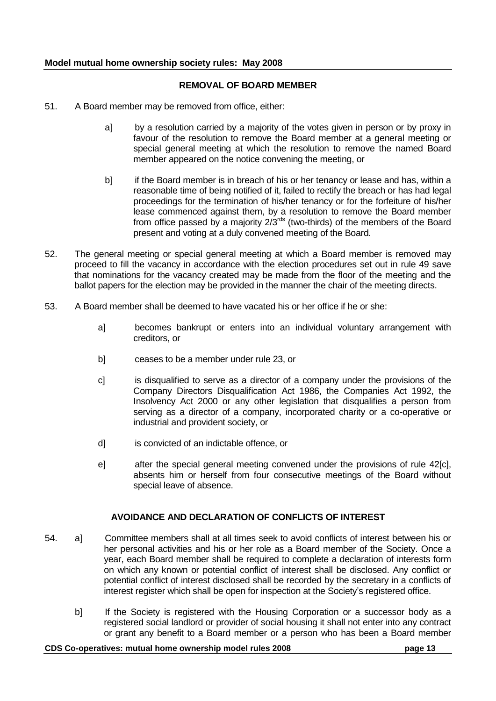## **REMOVAL OF BOARD MEMBER**

- 51. A Board member may be removed from office, either:
	- a] by a resolution carried by a majority of the votes given in person or by proxy in favour of the resolution to remove the Board member at a general meeting or special general meeting at which the resolution to remove the named Board member appeared on the notice convening the meeting, or
	- b] if the Board member is in breach of his or her tenancy or lease and has, within a reasonable time of being notified of it, failed to rectify the breach or has had legal proceedings for the termination of his/her tenancy or for the forfeiture of his/her lease commenced against them, by a resolution to remove the Board member from office passed by a majority  $2/3^{rds}$  (two-thirds) of the members of the Board present and voting at a duly convened meeting of the Board.
- 52. The general meeting or special general meeting at which a Board member is removed may proceed to fill the vacancy in accordance with the election procedures set out in rule 49 save that nominations for the vacancy created may be made from the floor of the meeting and the ballot papers for the election may be provided in the manner the chair of the meeting directs.
- 53. A Board member shall be deemed to have vacated his or her office if he or she:
	- a] becomes bankrupt or enters into an individual voluntary arrangement with creditors, or
	- b] ceases to be a member under rule 23, or
	- c] is disqualified to serve as a director of a company under the provisions of the Company Directors Disqualification Act 1986, the Companies Act 1992, the Insolvency Act 2000 or any other legislation that disqualifies a person from serving as a director of a company, incorporated charity or a co-operative or industrial and provident society, or
	- d] is convicted of an indictable offence, or
	- e] after the special general meeting convened under the provisions of rule 42[c], absents him or herself from four consecutive meetings of the Board without special leave of absence.

# **AVOIDANCE AND DECLARATION OF CONFLICTS OF INTEREST**

- 54. a] Committee members shall at all times seek to avoid conflicts of interest between his or her personal activities and his or her role as a Board member of the Society. Once a year, each Board member shall be required to complete a declaration of interests form on which any known or potential conflict of interest shall be disclosed. Any conflict or potential conflict of interest disclosed shall be recorded by the secretary in a conflicts of interest register which shall be open for inspection at the Society"s registered office.
	- b] If the Society is registered with the Housing Corporation or a successor body as a registered social landlord or provider of social housing it shall not enter into any contract or grant any benefit to a Board member or a person who has been a Board member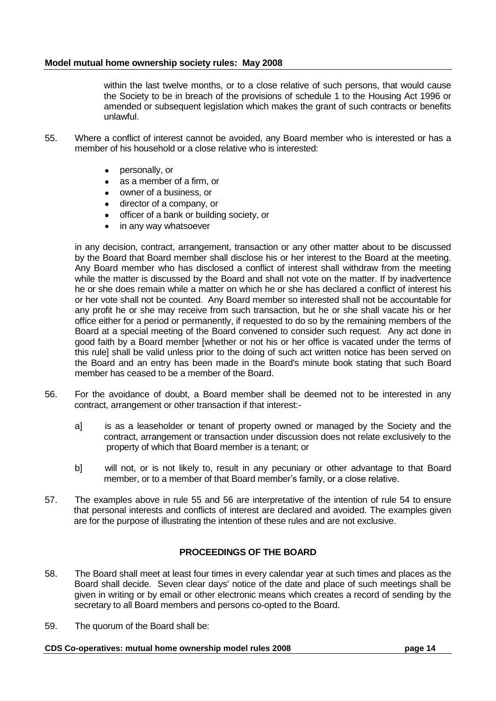within the last twelve months, or to a close relative of such persons, that would cause the Society to be in breach of the provisions of schedule 1 to the Housing Act 1996 or amended or subsequent legislation which makes the grant of such contracts or benefits unlawful.

- 55. Where a conflict of interest cannot be avoided, any Board member who is interested or has a member of his household or a close relative who is interested:
	- personally, or
	- $\bullet$ as a member of a firm, or
	- owner of a business, or  $\bullet$
	- director of a company, or
	- officer of a bank or building society, or
	- in any way whatsoever

in any decision, contract, arrangement, transaction or any other matter about to be discussed by the Board that Board member shall disclose his or her interest to the Board at the meeting. Any Board member who has disclosed a conflict of interest shall withdraw from the meeting while the matter is discussed by the Board and shall not vote on the matter. If by inadvertence he or she does remain while a matter on which he or she has declared a conflict of interest his or her vote shall not be counted. Any Board member so interested shall not be accountable for any profit he or she may receive from such transaction, but he or she shall vacate his or her office either for a period or permanently, if requested to do so by the remaining members of the Board at a special meeting of the Board convened to consider such request. Any act done in good faith by a Board member [whether or not his or her office is vacated under the terms of this rule] shall be valid unless prior to the doing of such act written notice has been served on the Board and an entry has been made in the Board's minute book stating that such Board member has ceased to be a member of the Board.

- 56. For the avoidance of doubt, a Board member shall be deemed not to be interested in any contract, arrangement or other transaction if that interest:
	- a] is as a leaseholder or tenant of property owned or managed by the Society and the contract, arrangement or transaction under discussion does not relate exclusively to the property of which that Board member is a tenant; or
	- b] will not, or is not likely to, result in any pecuniary or other advantage to that Board member, or to a member of that Board member"s family, or a close relative.
- 57. The examples above in rule 55 and 56 are interpretative of the intention of rule 54 to ensure that personal interests and conflicts of interest are declared and avoided. The examples given are for the purpose of illustrating the intention of these rules and are not exclusive.

# **PROCEEDINGS OF THE BOARD**

- 58. The Board shall meet at least four times in every calendar year at such times and places as the Board shall decide. Seven clear days' notice of the date and place of such meetings shall be given in writing or by email or other electronic means which creates a record of sending by the secretary to all Board members and persons co-opted to the Board.
- 59. The quorum of the Board shall be: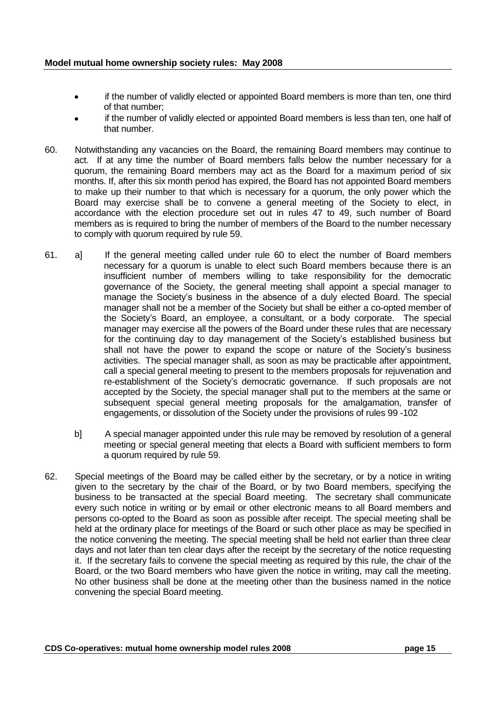- if the number of validly elected or appointed Board members is more than ten, one third  $\bullet$ of that number;
- if the number of validly elected or appointed Board members is less than ten, one half of  $\bullet$ that number.
- 60. Notwithstanding any vacancies on the Board, the remaining Board members may continue to act. If at any time the number of Board members falls below the number necessary for a quorum, the remaining Board members may act as the Board for a maximum period of six months. If, after this six month period has expired, the Board has not appointed Board members to make up their number to that which is necessary for a quorum, the only power which the Board may exercise shall be to convene a general meeting of the Society to elect, in accordance with the election procedure set out in rules 47 to 49, such number of Board members as is required to bring the number of members of the Board to the number necessary to comply with quorum required by rule 59.
- 61. a] If the general meeting called under rule 60 to elect the number of Board members necessary for a quorum is unable to elect such Board members because there is an insufficient number of members willing to take responsibility for the democratic governance of the Society, the general meeting shall appoint a special manager to manage the Society"s business in the absence of a duly elected Board. The special manager shall not be a member of the Society but shall be either a co-opted member of the Society"s Board, an employee, a consultant, or a body corporate. The special manager may exercise all the powers of the Board under these rules that are necessary for the continuing day to day management of the Society"s established business but shall not have the power to expand the scope or nature of the Society"s business activities. The special manager shall, as soon as may be practicable after appointment, call a special general meeting to present to the members proposals for rejuvenation and re-establishment of the Society"s democratic governance. If such proposals are not accepted by the Society, the special manager shall put to the members at the same or subsequent special general meeting proposals for the amalgamation, transfer of engagements, or dissolution of the Society under the provisions of rules 99 -102
	- b] A special manager appointed under this rule may be removed by resolution of a general meeting or special general meeting that elects a Board with sufficient members to form a quorum required by rule 59.
- 62. Special meetings of the Board may be called either by the secretary, or by a notice in writing given to the secretary by the chair of the Board, or by two Board members, specifying the business to be transacted at the special Board meeting. The secretary shall communicate every such notice in writing or by email or other electronic means to all Board members and persons co-opted to the Board as soon as possible after receipt. The special meeting shall be held at the ordinary place for meetings of the Board or such other place as may be specified in the notice convening the meeting. The special meeting shall be held not earlier than three clear days and not later than ten clear days after the receipt by the secretary of the notice requesting it. If the secretary fails to convene the special meeting as required by this rule, the chair of the Board, or the two Board members who have given the notice in writing, may call the meeting. No other business shall be done at the meeting other than the business named in the notice convening the special Board meeting.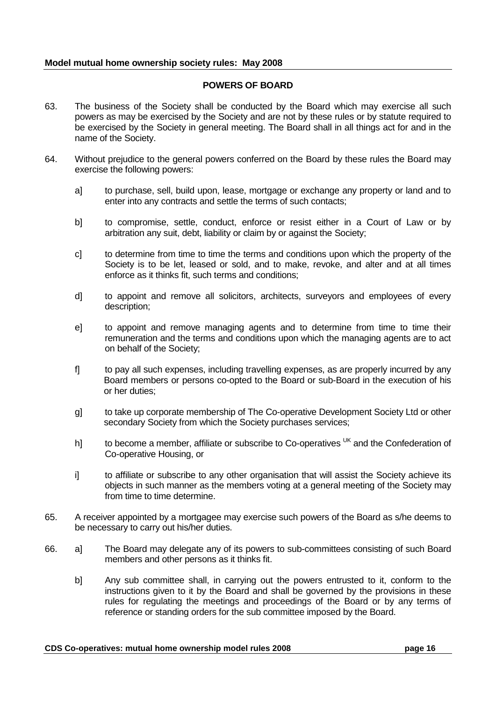# **POWERS OF BOARD**

- 63. The business of the Society shall be conducted by the Board which may exercise all such powers as may be exercised by the Society and are not by these rules or by statute required to be exercised by the Society in general meeting. The Board shall in all things act for and in the name of the Society.
- 64. Without prejudice to the general powers conferred on the Board by these rules the Board may exercise the following powers:
	- a] to purchase, sell, build upon, lease, mortgage or exchange any property or land and to enter into any contracts and settle the terms of such contacts;
	- b] to compromise, settle, conduct, enforce or resist either in a Court of Law or by arbitration any suit, debt, liability or claim by or against the Society;
	- c] to determine from time to time the terms and conditions upon which the property of the Society is to be let, leased or sold, and to make, revoke, and alter and at all times enforce as it thinks fit, such terms and conditions;
	- d] to appoint and remove all solicitors, architects, surveyors and employees of every description;
	- e] to appoint and remove managing agents and to determine from time to time their remuneration and the terms and conditions upon which the managing agents are to act on behalf of the Society;
	- f] to pay all such expenses, including travelling expenses, as are properly incurred by any Board members or persons co-opted to the Board or sub-Board in the execution of his or her duties;
	- g] to take up corporate membership of The Co-operative Development Society Ltd or other secondary Society from which the Society purchases services;
	- h] to become a member, affiliate or subscribe to Co-operatives  $U<sup>K</sup>$  and the Confederation of Co-operative Housing, or
	- i] to affiliate or subscribe to any other organisation that will assist the Society achieve its objects in such manner as the members voting at a general meeting of the Society may from time to time determine.
- 65. A receiver appointed by a mortgagee may exercise such powers of the Board as s/he deems to be necessary to carry out his/her duties.
- 66. a] The Board may delegate any of its powers to sub-committees consisting of such Board members and other persons as it thinks fit.
	- b] Any sub committee shall, in carrying out the powers entrusted to it, conform to the instructions given to it by the Board and shall be governed by the provisions in these rules for regulating the meetings and proceedings of the Board or by any terms of reference or standing orders for the sub committee imposed by the Board.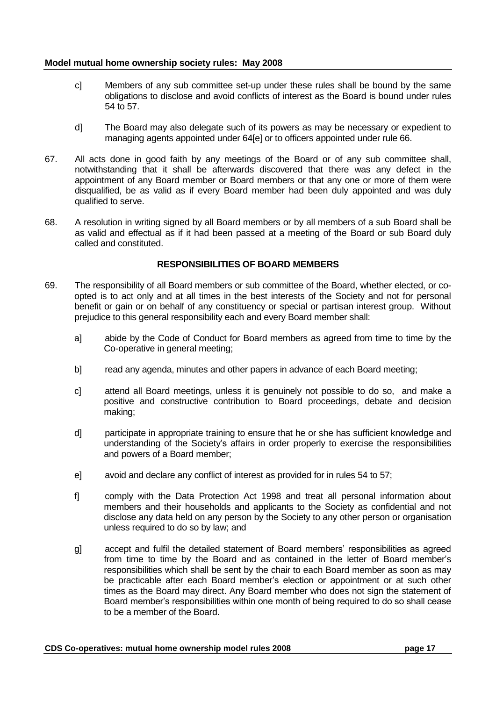- c] Members of any sub committee set-up under these rules shall be bound by the same obligations to disclose and avoid conflicts of interest as the Board is bound under rules 54 to 57.
- d] The Board may also delegate such of its powers as may be necessary or expedient to managing agents appointed under 64[e] or to officers appointed under rule 66.
- 67. All acts done in good faith by any meetings of the Board or of any sub committee shall, notwithstanding that it shall be afterwards discovered that there was any defect in the appointment of any Board member or Board members or that any one or more of them were disqualified, be as valid as if every Board member had been duly appointed and was duly qualified to serve.
- 68. A resolution in writing signed by all Board members or by all members of a sub Board shall be as valid and effectual as if it had been passed at a meeting of the Board or sub Board duly called and constituted.

# **RESPONSIBILITIES OF BOARD MEMBERS**

- 69. The responsibility of all Board members or sub committee of the Board, whether elected, or coopted is to act only and at all times in the best interests of the Society and not for personal benefit or gain or on behalf of any constituency or special or partisan interest group. Without prejudice to this general responsibility each and every Board member shall:
	- a] abide by the Code of Conduct for Board members as agreed from time to time by the Co-operative in general meeting;
	- b] read any agenda, minutes and other papers in advance of each Board meeting;
	- c] attend all Board meetings, unless it is genuinely not possible to do so, and make a positive and constructive contribution to Board proceedings, debate and decision making;
	- d] participate in appropriate training to ensure that he or she has sufficient knowledge and understanding of the Society"s affairs in order properly to exercise the responsibilities and powers of a Board member;
	- e] avoid and declare any conflict of interest as provided for in rules 54 to 57;
	- f] comply with the Data Protection Act 1998 and treat all personal information about members and their households and applicants to the Society as confidential and not disclose any data held on any person by the Society to any other person or organisation unless required to do so by law; and
	- g] accept and fulfil the detailed statement of Board members" responsibilities as agreed from time to time by the Board and as contained in the letter of Board member"s responsibilities which shall be sent by the chair to each Board member as soon as may be practicable after each Board member"s election or appointment or at such other times as the Board may direct. Any Board member who does not sign the statement of Board member"s responsibilities within one month of being required to do so shall cease to be a member of the Board.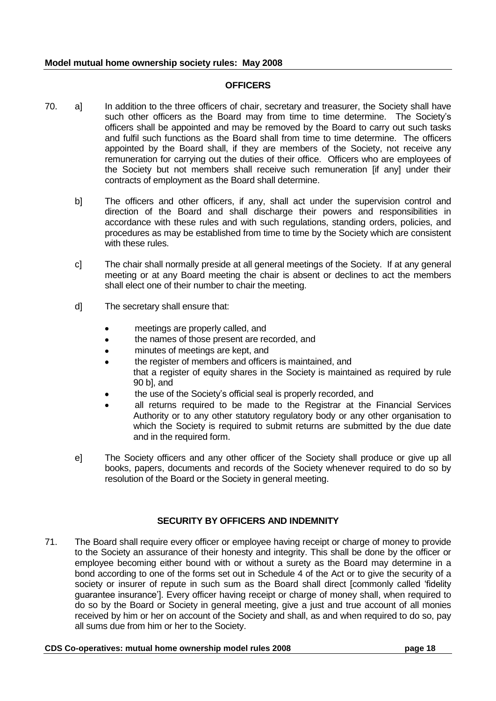#### **OFFICERS**

- 70. a] In addition to the three officers of chair, secretary and treasurer, the Society shall have such other officers as the Board may from time to time determine. The Society's officers shall be appointed and may be removed by the Board to carry out such tasks and fulfil such functions as the Board shall from time to time determine. The officers appointed by the Board shall, if they are members of the Society, not receive any remuneration for carrying out the duties of their office. Officers who are employees of the Society but not members shall receive such remuneration [if any] under their contracts of employment as the Board shall determine.
	- b] The officers and other officers, if any, shall act under the supervision control and direction of the Board and shall discharge their powers and responsibilities in accordance with these rules and with such regulations, standing orders, policies, and procedures as may be established from time to time by the Society which are consistent with these rules.
	- c] The chair shall normally preside at all general meetings of the Society. If at any general meeting or at any Board meeting the chair is absent or declines to act the members shall elect one of their number to chair the meeting.
	- d] The secretary shall ensure that:
		- meetings are properly called, and
		- the names of those present are recorded, and
		- minutes of meetings are kept, and
		- the register of members and officers is maintained, and that a register of equity shares in the Society is maintained as required by rule 90 b], and
		- the use of the Society"s official seal is properly recorded, and
		- all returns required to be made to the Registrar at the Financial Services Authority or to any other statutory regulatory body or any other organisation to which the Society is required to submit returns are submitted by the due date and in the required form.
	- e] The Society officers and any other officer of the Society shall produce or give up all books, papers, documents and records of the Society whenever required to do so by resolution of the Board or the Society in general meeting.

# **SECURITY BY OFFICERS AND INDEMNITY**

71. The Board shall require every officer or employee having receipt or charge of money to provide to the Society an assurance of their honesty and integrity. This shall be done by the officer or employee becoming either bound with or without a surety as the Board may determine in a bond according to one of the forms set out in Schedule 4 of the Act or to give the security of a society or insurer of repute in such sum as the Board shall direct [commonly called "fidelity guarantee insurance"]. Every officer having receipt or charge of money shall, when required to do so by the Board or Society in general meeting, give a just and true account of all monies received by him or her on account of the Society and shall, as and when required to do so, pay all sums due from him or her to the Society.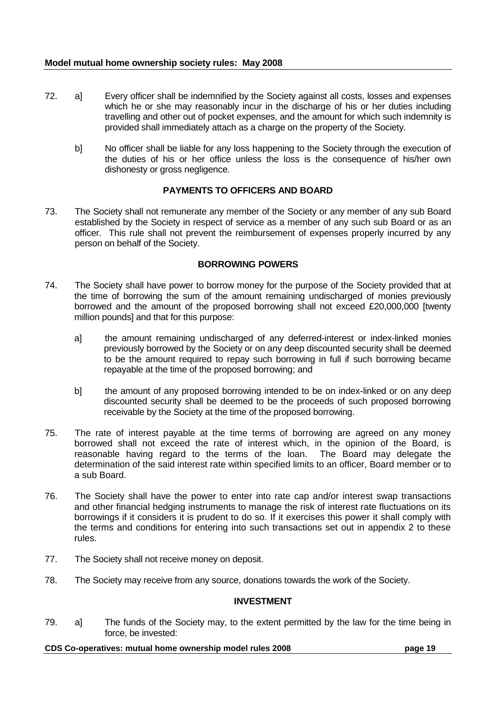- 72. a] Every officer shall be indemnified by the Society against all costs, losses and expenses which he or she may reasonably incur in the discharge of his or her duties including travelling and other out of pocket expenses, and the amount for which such indemnity is provided shall immediately attach as a charge on the property of the Society.
	- b] No officer shall be liable for any loss happening to the Society through the execution of the duties of his or her office unless the loss is the consequence of his/her own dishonesty or gross negligence.

# **PAYMENTS TO OFFICERS AND BOARD**

73. The Society shall not remunerate any member of the Society or any member of any sub Board established by the Society in respect of service as a member of any such sub Board or as an officer. This rule shall not prevent the reimbursement of expenses properly incurred by any person on behalf of the Society.

# **BORROWING POWERS**

- 74. The Society shall have power to borrow money for the purpose of the Society provided that at the time of borrowing the sum of the amount remaining undischarged of monies previously borrowed and the amount of the proposed borrowing shall not exceed £20,000,000 [twenty million pounds] and that for this purpose:
	- a] the amount remaining undischarged of any deferred-interest or index-linked monies previously borrowed by the Society or on any deep discounted security shall be deemed to be the amount required to repay such borrowing in full if such borrowing became repayable at the time of the proposed borrowing; and
	- b] the amount of any proposed borrowing intended to be on index-linked or on any deep discounted security shall be deemed to be the proceeds of such proposed borrowing receivable by the Society at the time of the proposed borrowing.
- 75. The rate of interest payable at the time terms of borrowing are agreed on any money borrowed shall not exceed the rate of interest which, in the opinion of the Board, is reasonable having regard to the terms of the loan. The Board may delegate the determination of the said interest rate within specified limits to an officer, Board member or to a sub Board.
- 76. The Society shall have the power to enter into rate cap and/or interest swap transactions and other financial hedging instruments to manage the risk of interest rate fluctuations on its borrowings if it considers it is prudent to do so. If it exercises this power it shall comply with the terms and conditions for entering into such transactions set out in appendix 2 to these rules.
- 77. The Society shall not receive money on deposit.
- 78. The Society may receive from any source, donations towards the work of the Society.

#### **INVESTMENT**

79. a] The funds of the Society may, to the extent permitted by the law for the time being in force, be invested: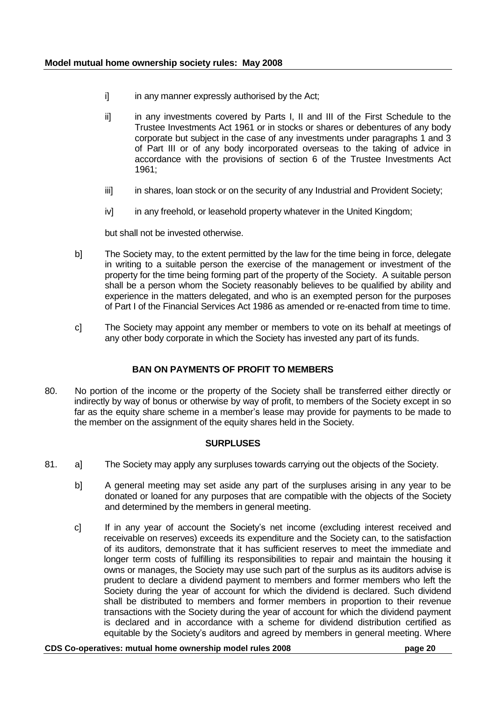- i] in any manner expressly authorised by the Act;
- ii] in any investments covered by Parts I, II and III of the First Schedule to the Trustee Investments Act 1961 or in stocks or shares or debentures of any body corporate but subject in the case of any investments under paragraphs 1 and 3 of Part III or of any body incorporated overseas to the taking of advice in accordance with the provisions of section 6 of the Trustee Investments Act 1961;
- iii] in shares, loan stock or on the security of any Industrial and Provident Society;
- iv] in any freehold, or leasehold property whatever in the United Kingdom;

but shall not be invested otherwise.

- b] The Society may, to the extent permitted by the law for the time being in force, delegate in writing to a suitable person the exercise of the management or investment of the property for the time being forming part of the property of the Society. A suitable person shall be a person whom the Society reasonably believes to be qualified by ability and experience in the matters delegated, and who is an exempted person for the purposes of Part I of the Financial Services Act 1986 as amended or re-enacted from time to time.
- c] The Society may appoint any member or members to vote on its behalf at meetings of any other body corporate in which the Society has invested any part of its funds.

# **BAN ON PAYMENTS OF PROFIT TO MEMBERS**

80. No portion of the income or the property of the Society shall be transferred either directly or indirectly by way of bonus or otherwise by way of profit, to members of the Society except in so far as the equity share scheme in a member"s lease may provide for payments to be made to the member on the assignment of the equity shares held in the Society.

# **SURPLUSES**

- 81. a] The Society may apply any surpluses towards carrying out the objects of the Society.
	- b] A general meeting may set aside any part of the surpluses arising in any year to be donated or loaned for any purposes that are compatible with the objects of the Society and determined by the members in general meeting.
	- c] If in any year of account the Society"s net income (excluding interest received and receivable on reserves) exceeds its expenditure and the Society can, to the satisfaction of its auditors, demonstrate that it has sufficient reserves to meet the immediate and longer term costs of fulfilling its responsibilities to repair and maintain the housing it owns or manages, the Society may use such part of the surplus as its auditors advise is prudent to declare a dividend payment to members and former members who left the Society during the year of account for which the dividend is declared. Such dividend shall be distributed to members and former members in proportion to their revenue transactions with the Society during the year of account for which the dividend payment is declared and in accordance with a scheme for dividend distribution certified as equitable by the Society"s auditors and agreed by members in general meeting. Where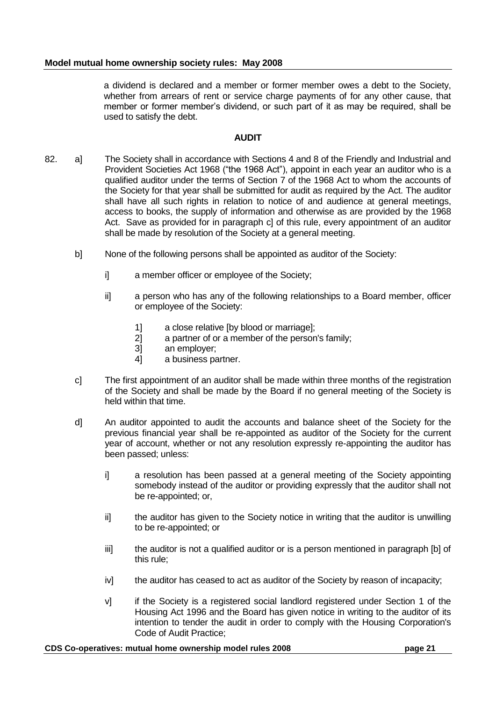a dividend is declared and a member or former member owes a debt to the Society, whether from arrears of rent or service charge payments of for any other cause, that member or former member"s dividend, or such part of it as may be required, shall be used to satisfy the debt.

# **AUDIT**

- 82. a] The Society shall in accordance with Sections 4 and 8 of the Friendly and Industrial and Provident Societies Act 1968 ("the 1968 Act"), appoint in each year an auditor who is a qualified auditor under the terms of Section 7 of the 1968 Act to whom the accounts of the Society for that year shall be submitted for audit as required by the Act. The auditor shall have all such rights in relation to notice of and audience at general meetings, access to books, the supply of information and otherwise as are provided by the 1968 Act. Save as provided for in paragraph c] of this rule, every appointment of an auditor shall be made by resolution of the Society at a general meeting.
	- b] None of the following persons shall be appointed as auditor of the Society:
		- i] a member officer or employee of the Society;
		- ii] a person who has any of the following relationships to a Board member, officer or employee of the Society:
			- 1] a close relative [by blood or marriage];
			- 2] a partner of or a member of the person's family;
			- 3] an employer;<br>4] a business pa
			- a business partner.
	- c] The first appointment of an auditor shall be made within three months of the registration of the Society and shall be made by the Board if no general meeting of the Society is held within that time.
	- d] An auditor appointed to audit the accounts and balance sheet of the Society for the previous financial year shall be re-appointed as auditor of the Society for the current year of account, whether or not any resolution expressly re-appointing the auditor has been passed; unless:
		- i] a resolution has been passed at a general meeting of the Society appointing somebody instead of the auditor or providing expressly that the auditor shall not be re-appointed; or,
		- ii] the auditor has given to the Society notice in writing that the auditor is unwilling to be re-appointed; or
		- iii] the auditor is not a qualified auditor or is a person mentioned in paragraph [b] of this rule;
		- iv] the auditor has ceased to act as auditor of the Society by reason of incapacity;
		- v] if the Society is a registered social landlord registered under Section 1 of the Housing Act 1996 and the Board has given notice in writing to the auditor of its intention to tender the audit in order to comply with the Housing Corporation's Code of Audit Practice;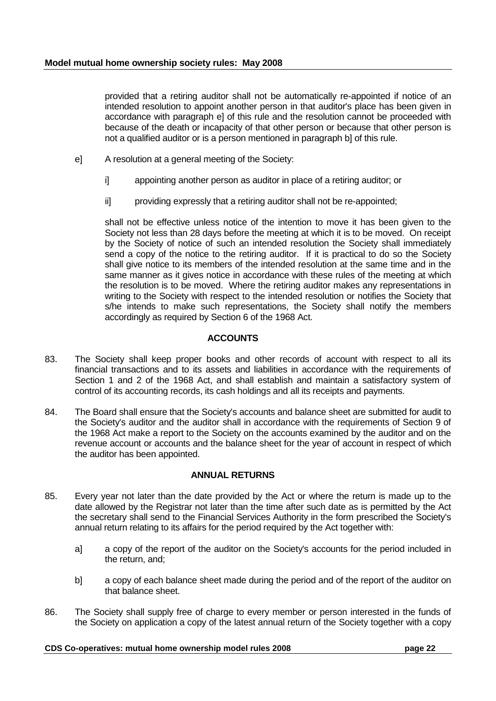provided that a retiring auditor shall not be automatically re-appointed if notice of an intended resolution to appoint another person in that auditor's place has been given in accordance with paragraph e] of this rule and the resolution cannot be proceeded with because of the death or incapacity of that other person or because that other person is not a qualified auditor or is a person mentioned in paragraph b] of this rule.

- e] A resolution at a general meeting of the Society:
	- i] appointing another person as auditor in place of a retiring auditor; or
	- ii] providing expressly that a retiring auditor shall not be re-appointed;

shall not be effective unless notice of the intention to move it has been given to the Society not less than 28 days before the meeting at which it is to be moved. On receipt by the Society of notice of such an intended resolution the Society shall immediately send a copy of the notice to the retiring auditor. If it is practical to do so the Society shall give notice to its members of the intended resolution at the same time and in the same manner as it gives notice in accordance with these rules of the meeting at which the resolution is to be moved. Where the retiring auditor makes any representations in writing to the Society with respect to the intended resolution or notifies the Society that s/he intends to make such representations, the Society shall notify the members accordingly as required by Section 6 of the 1968 Act.

# **ACCOUNTS**

- 83. The Society shall keep proper books and other records of account with respect to all its financial transactions and to its assets and liabilities in accordance with the requirements of Section 1 and 2 of the 1968 Act, and shall establish and maintain a satisfactory system of control of its accounting records, its cash holdings and all its receipts and payments.
- 84. The Board shall ensure that the Society's accounts and balance sheet are submitted for audit to the Society's auditor and the auditor shall in accordance with the requirements of Section 9 of the 1968 Act make a report to the Society on the accounts examined by the auditor and on the revenue account or accounts and the balance sheet for the year of account in respect of which the auditor has been appointed.

# **ANNUAL RETURNS**

- 85. Every year not later than the date provided by the Act or where the return is made up to the date allowed by the Registrar not later than the time after such date as is permitted by the Act the secretary shall send to the Financial Services Authority in the form prescribed the Society's annual return relating to its affairs for the period required by the Act together with:
	- a] a copy of the report of the auditor on the Society's accounts for the period included in the return, and;
	- b] a copy of each balance sheet made during the period and of the report of the auditor on that balance sheet.
- 86. The Society shall supply free of charge to every member or person interested in the funds of the Society on application a copy of the latest annual return of the Society together with a copy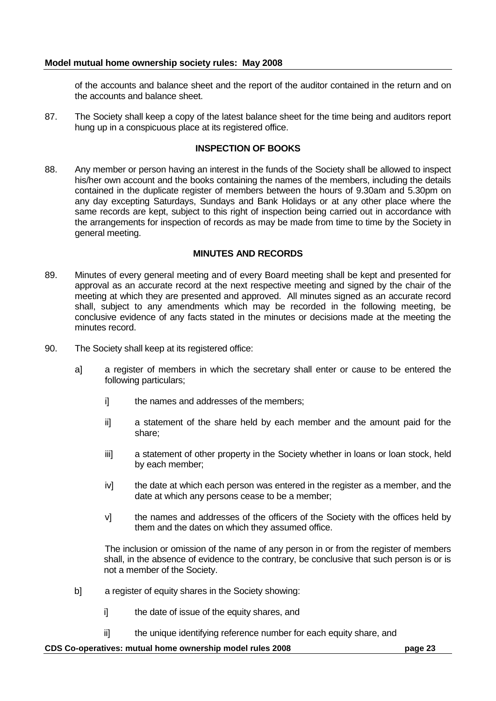of the accounts and balance sheet and the report of the auditor contained in the return and on the accounts and balance sheet.

87. The Society shall keep a copy of the latest balance sheet for the time being and auditors report hung up in a conspicuous place at its registered office.

### **INSPECTION OF BOOKS**

88. Any member or person having an interest in the funds of the Society shall be allowed to inspect his/her own account and the books containing the names of the members, including the details contained in the duplicate register of members between the hours of 9.30am and 5.30pm on any day excepting Saturdays, Sundays and Bank Holidays or at any other place where the same records are kept, subject to this right of inspection being carried out in accordance with the arrangements for inspection of records as may be made from time to time by the Society in general meeting.

## **MINUTES AND RECORDS**

- 89. Minutes of every general meeting and of every Board meeting shall be kept and presented for approval as an accurate record at the next respective meeting and signed by the chair of the meeting at which they are presented and approved. All minutes signed as an accurate record shall, subject to any amendments which may be recorded in the following meeting, be conclusive evidence of any facts stated in the minutes or decisions made at the meeting the minutes record.
- 90. The Society shall keep at its registered office:
	- a] a register of members in which the secretary shall enter or cause to be entered the following particulars;
		- i] the names and addresses of the members;
		- ii] a statement of the share held by each member and the amount paid for the share;
		- iii] a statement of other property in the Society whether in loans or loan stock, held by each member;
		- iv] the date at which each person was entered in the register as a member, and the date at which any persons cease to be a member;
		- v] the names and addresses of the officers of the Society with the offices held by them and the dates on which they assumed office.

The inclusion or omission of the name of any person in or from the register of members shall, in the absence of evidence to the contrary, be conclusive that such person is or is not a member of the Society.

- b] a register of equity shares in the Society showing:
	- i] the date of issue of the equity shares, and
	- ii] the unique identifying reference number for each equity share, and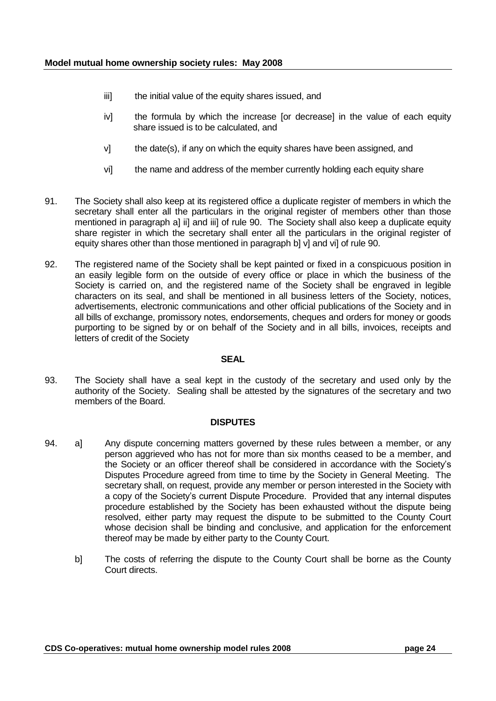- iii] the initial value of the equity shares issued, and
- iv] the formula by which the increase [or decrease] in the value of each equity share issued is to be calculated, and
- v] the date(s), if any on which the equity shares have been assigned, and
- vi] the name and address of the member currently holding each equity share
- 91. The Society shall also keep at its registered office a duplicate register of members in which the secretary shall enter all the particulars in the original register of members other than those mentioned in paragraph a] ii] and iii] of rule 90. The Society shall also keep a duplicate equity share register in which the secretary shall enter all the particulars in the original register of equity shares other than those mentioned in paragraph b] v] and vi] of rule 90.
- 92. The registered name of the Society shall be kept painted or fixed in a conspicuous position in an easily legible form on the outside of every office or place in which the business of the Society is carried on, and the registered name of the Society shall be engraved in legible characters on its seal, and shall be mentioned in all business letters of the Society, notices, advertisements, electronic communications and other official publications of the Society and in all bills of exchange, promissory notes, endorsements, cheques and orders for money or goods purporting to be signed by or on behalf of the Society and in all bills, invoices, receipts and letters of credit of the Society

#### **SEAL**

93. The Society shall have a seal kept in the custody of the secretary and used only by the authority of the Society. Sealing shall be attested by the signatures of the secretary and two members of the Board.

#### **DISPUTES**

- 94. al Any dispute concerning matters governed by these rules between a member, or any person aggrieved who has not for more than six months ceased to be a member, and the Society or an officer thereof shall be considered in accordance with the Society"s Disputes Procedure agreed from time to time by the Society in General Meeting. The secretary shall, on request, provide any member or person interested in the Society with a copy of the Society"s current Dispute Procedure. Provided that any internal disputes procedure established by the Society has been exhausted without the dispute being resolved, either party may request the dispute to be submitted to the County Court whose decision shall be binding and conclusive, and application for the enforcement thereof may be made by either party to the County Court.
	- b] The costs of referring the dispute to the County Court shall be borne as the County Court directs.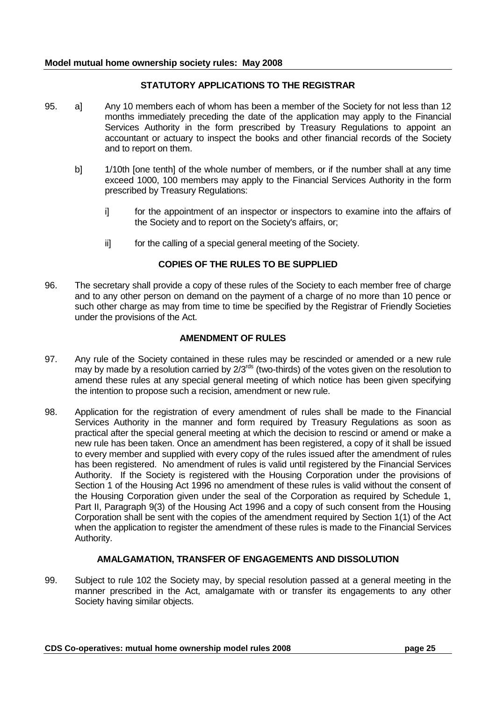## **STATUTORY APPLICATIONS TO THE REGISTRAR**

- 95. a] Any 10 members each of whom has been a member of the Society for not less than 12 months immediately preceding the date of the application may apply to the Financial Services Authority in the form prescribed by Treasury Regulations to appoint an accountant or actuary to inspect the books and other financial records of the Society and to report on them.
	- b] 1/10th [one tenth] of the whole number of members, or if the number shall at any time exceed 1000, 100 members may apply to the Financial Services Authority in the form prescribed by Treasury Regulations:
		- i for the appointment of an inspector or inspectors to examine into the affairs of the Society and to report on the Society's affairs, or;
		- ii] for the calling of a special general meeting of the Society.

# **COPIES OF THE RULES TO BE SUPPLIED**

96. The secretary shall provide a copy of these rules of the Society to each member free of charge and to any other person on demand on the payment of a charge of no more than 10 pence or such other charge as may from time to time be specified by the Registrar of Friendly Societies under the provisions of the Act.

## **AMENDMENT OF RULES**

- 97. Any rule of the Society contained in these rules may be rescinded or amended or a new rule may by made by a resolution carried by 2/3<sup>rds</sup> (two-thirds) of the votes given on the resolution to amend these rules at any special general meeting of which notice has been given specifying the intention to propose such a recision, amendment or new rule.
- 98. Application for the registration of every amendment of rules shall be made to the Financial Services Authority in the manner and form required by Treasury Regulations as soon as practical after the special general meeting at which the decision to rescind or amend or make a new rule has been taken. Once an amendment has been registered, a copy of it shall be issued to every member and supplied with every copy of the rules issued after the amendment of rules has been registered. No amendment of rules is valid until registered by the Financial Services Authority. If the Society is registered with the Housing Corporation under the provisions of Section 1 of the Housing Act 1996 no amendment of these rules is valid without the consent of the Housing Corporation given under the seal of the Corporation as required by Schedule 1, Part II, Paragraph 9(3) of the Housing Act 1996 and a copy of such consent from the Housing Corporation shall be sent with the copies of the amendment required by Section 1(1) of the Act when the application to register the amendment of these rules is made to the Financial Services Authority.

# **AMALGAMATION, TRANSFER OF ENGAGEMENTS AND DISSOLUTION**

99. Subject to rule 102 the Society may, by special resolution passed at a general meeting in the manner prescribed in the Act, amalgamate with or transfer its engagements to any other Society having similar objects.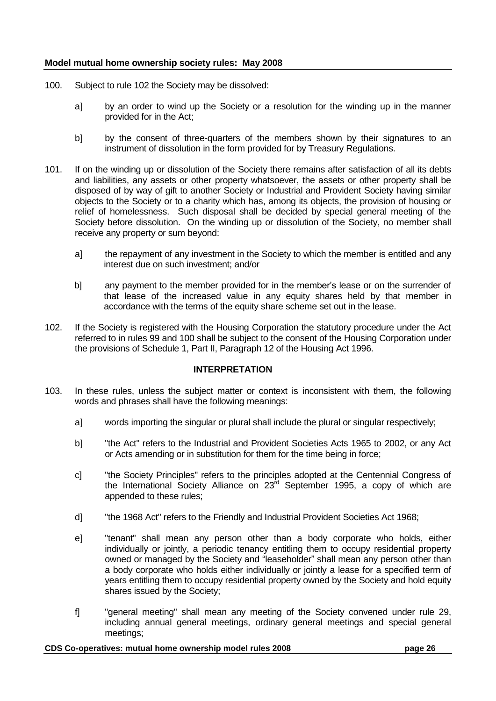- 100. Subject to rule 102 the Society may be dissolved:
	- a] by an order to wind up the Society or a resolution for the winding up in the manner provided for in the Act;
	- b] by the consent of three-quarters of the members shown by their signatures to an instrument of dissolution in the form provided for by Treasury Regulations.
- 101. If on the winding up or dissolution of the Society there remains after satisfaction of all its debts and liabilities, any assets or other property whatsoever, the assets or other property shall be disposed of by way of gift to another Society or Industrial and Provident Society having similar objects to the Society or to a charity which has, among its objects, the provision of housing or relief of homelessness. Such disposal shall be decided by special general meeting of the Society before dissolution. On the winding up or dissolution of the Society, no member shall receive any property or sum beyond:
	- a] the repayment of any investment in the Society to which the member is entitled and any interest due on such investment; and/or
	- b] any payment to the member provided for in the member"s lease or on the surrender of that lease of the increased value in any equity shares held by that member in accordance with the terms of the equity share scheme set out in the lease.
- 102. If the Society is registered with the Housing Corporation the statutory procedure under the Act referred to in rules 99 and 100 shall be subject to the consent of the Housing Corporation under the provisions of Schedule 1, Part II, Paragraph 12 of the Housing Act 1996.

# **INTERPRETATION**

- 103. In these rules, unless the subject matter or context is inconsistent with them, the following words and phrases shall have the following meanings:
	- a] words importing the singular or plural shall include the plural or singular respectively;
	- b] "the Act" refers to the Industrial and Provident Societies Acts 1965 to 2002, or any Act or Acts amending or in substitution for them for the time being in force;
	- c] "the Society Principles" refers to the principles adopted at the Centennial Congress of the International Society Alliance on 23<sup>rd</sup> September 1995, a copy of which are appended to these rules;
	- d] "the 1968 Act" refers to the Friendly and Industrial Provident Societies Act 1968;
	- e] "tenant" shall mean any person other than a body corporate who holds, either individually or jointly, a periodic tenancy entitling them to occupy residential property owned or managed by the Society and "leaseholder" shall mean any person other than a body corporate who holds either individually or jointly a lease for a specified term of years entitling them to occupy residential property owned by the Society and hold equity shares issued by the Society;
	- f] "general meeting" shall mean any meeting of the Society convened under rule 29, including annual general meetings, ordinary general meetings and special general meetings;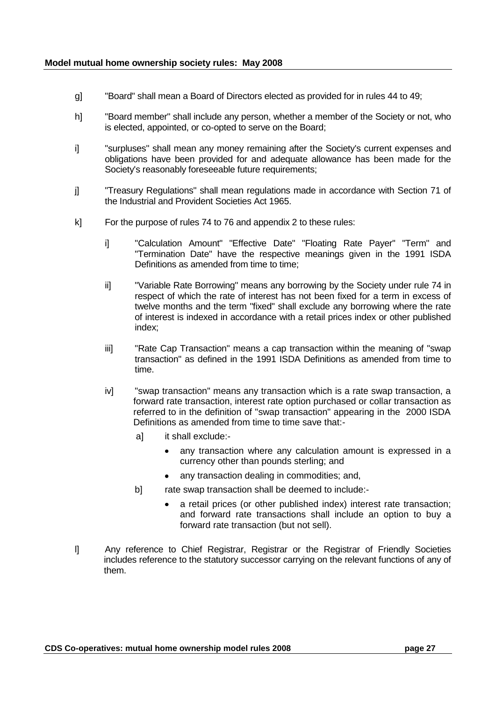- g] "Board" shall mean a Board of Directors elected as provided for in rules 44 to 49;
- h] "Board member" shall include any person, whether a member of the Society or not, who is elected, appointed, or co-opted to serve on the Board;
- i] "surpluses" shall mean any money remaining after the Society's current expenses and obligations have been provided for and adequate allowance has been made for the Society's reasonably foreseeable future requirements;
- j] "Treasury Regulations" shall mean regulations made in accordance with Section 71 of the Industrial and Provident Societies Act 1965.
- k] For the purpose of rules 74 to 76 and appendix 2 to these rules:
	- i] "Calculation Amount" "Effective Date" "Floating Rate Payer" "Term" and "Termination Date" have the respective meanings given in the 1991 ISDA Definitions as amended from time to time:
	- ii] "Variable Rate Borrowing" means any borrowing by the Society under rule 74 in respect of which the rate of interest has not been fixed for a term in excess of twelve months and the term "fixed" shall exclude any borrowing where the rate of interest is indexed in accordance with a retail prices index or other published index;
	- iii] "Rate Cap Transaction" means a cap transaction within the meaning of "swap transaction" as defined in the 1991 ISDA Definitions as amended from time to time.
	- iv] "swap transaction" means any transaction which is a rate swap transaction, a forward rate transaction, interest rate option purchased or collar transaction as referred to in the definition of "swap transaction" appearing in the 2000 ISDA Definitions as amended from time to time save that:
		- a] it shall exclude:
			- any transaction where any calculation amount is expressed in a currency other than pounds sterling; and
			- any transaction dealing in commodities; and,
		- b] rate swap transaction shall be deemed to include:
			- a retail prices (or other published index) interest rate transaction; and forward rate transactions shall include an option to buy a forward rate transaction (but not sell).
- l] Any reference to Chief Registrar, Registrar or the Registrar of Friendly Societies includes reference to the statutory successor carrying on the relevant functions of any of them.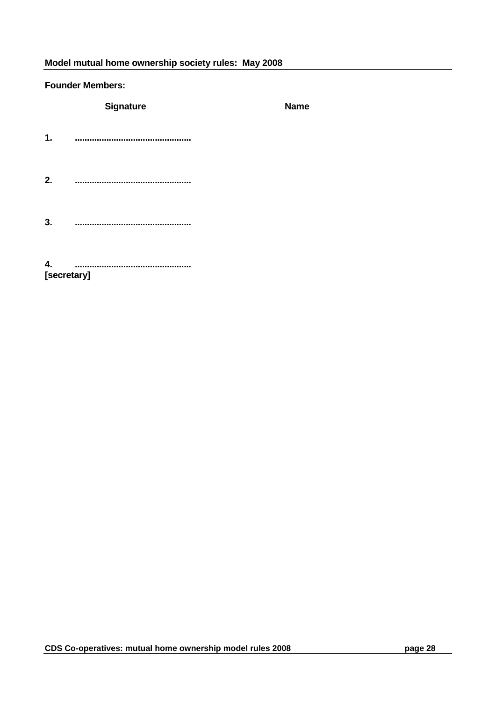#### **Founder Members:**

**Signature Name 1. ................................................ 2. ................................................ 3. ................................................**

**4. ................................................ [secretary]**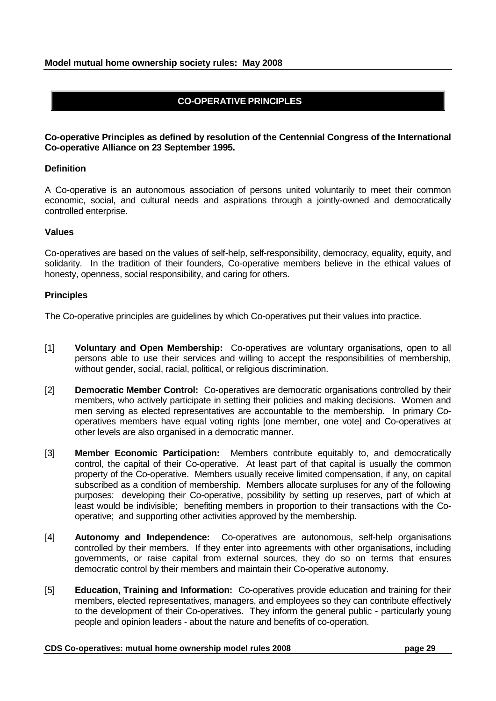# **CO-OPERATIVE PRINCIPLES**

## **Co-operative Principles as defined by resolution of the Centennial Congress of the International Co-operative Alliance on 23 September 1995.**

#### **Definition**

A Co-operative is an autonomous association of persons united voluntarily to meet their common economic, social, and cultural needs and aspirations through a jointly-owned and democratically controlled enterprise.

#### **Values**

Co-operatives are based on the values of self-help, self-responsibility, democracy, equality, equity, and solidarity. In the tradition of their founders, Co-operative members believe in the ethical values of honesty, openness, social responsibility, and caring for others.

### **Principles**

The Co-operative principles are guidelines by which Co-operatives put their values into practice.

- [1] **Voluntary and Open Membership:** Co-operatives are voluntary organisations, open to all persons able to use their services and willing to accept the responsibilities of membership, without gender, social, racial, political, or religious discrimination.
- [2] **Democratic Member Control:** Co-operatives are democratic organisations controlled by their members, who actively participate in setting their policies and making decisions. Women and men serving as elected representatives are accountable to the membership. In primary Cooperatives members have equal voting rights [one member, one vote] and Co-operatives at other levels are also organised in a democratic manner.
- [3] **Member Economic Participation:** Members contribute equitably to, and democratically control, the capital of their Co-operative. At least part of that capital is usually the common property of the Co-operative. Members usually receive limited compensation, if any, on capital subscribed as a condition of membership. Members allocate surpluses for any of the following purposes: developing their Co-operative, possibility by setting up reserves, part of which at least would be indivisible; benefiting members in proportion to their transactions with the Cooperative; and supporting other activities approved by the membership.
- [4] **Autonomy and Independence:** Co-operatives are autonomous, self-help organisations controlled by their members. If they enter into agreements with other organisations, including governments, or raise capital from external sources, they do so on terms that ensures democratic control by their members and maintain their Co-operative autonomy.
- [5] **Education, Training and Information:** Co-operatives provide education and training for their members, elected representatives, managers, and employees so they can contribute effectively to the development of their Co-operatives. They inform the general public - particularly young people and opinion leaders - about the nature and benefits of co-operation.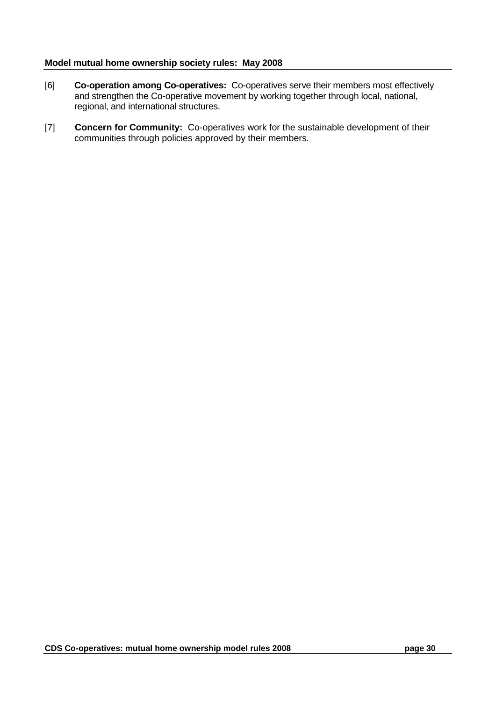- [6] **Co-operation among Co-operatives:** Co-operatives serve their members most effectively and strengthen the Co-operative movement by working together through local, national, regional, and international structures.
- [7] **Concern for Community:** Co-operatives work for the sustainable development of their communities through policies approved by their members.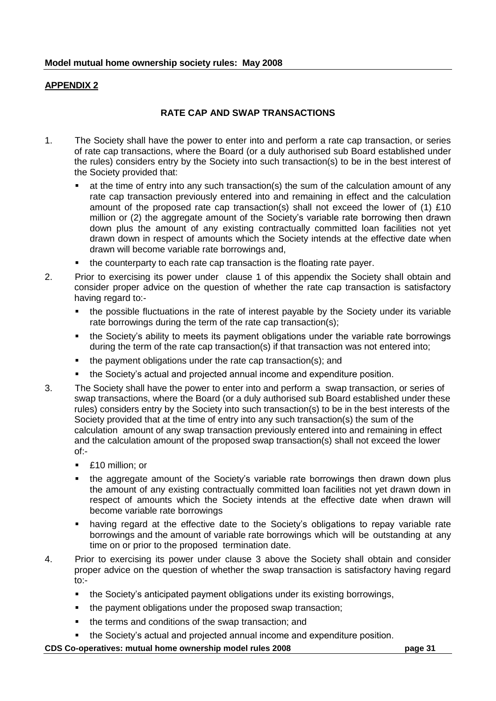# **APPENDIX 2**

# **RATE CAP AND SWAP TRANSACTIONS**

- 1. The Society shall have the power to enter into and perform a rate cap transaction, or series of rate cap transactions, where the Board (or a duly authorised sub Board established under the rules) considers entry by the Society into such transaction(s) to be in the best interest of the Society provided that:
	- at the time of entry into any such transaction(s) the sum of the calculation amount of any rate cap transaction previously entered into and remaining in effect and the calculation amount of the proposed rate cap transaction(s) shall not exceed the lower of (1) £10 million or (2) the aggregate amount of the Society"s variable rate borrowing then drawn down plus the amount of any existing contractually committed loan facilities not yet drawn down in respect of amounts which the Society intends at the effective date when drawn will become variable rate borrowings and,
	- the counterparty to each rate cap transaction is the floating rate payer.
- 2. Prior to exercising its power under clause 1 of this appendix the Society shall obtain and consider proper advice on the question of whether the rate cap transaction is satisfactory having regard to:-
	- the possible fluctuations in the rate of interest payable by the Society under its variable rate borrowings during the term of the rate cap transaction(s);
	- the Society's ability to meets its payment obligations under the variable rate borrowings during the term of the rate cap transaction(s) if that transaction was not entered into;
	- the payment obligations under the rate cap transaction(s); and
	- the Society"s actual and projected annual income and expenditure position.
- 3. The Society shall have the power to enter into and perform a swap transaction, or series of swap transactions, where the Board (or a duly authorised sub Board established under these rules) considers entry by the Society into such transaction(s) to be in the best interests of the Society provided that at the time of entry into any such transaction(s) the sum of the calculation amount of any swap transaction previously entered into and remaining in effect and the calculation amount of the proposed swap transaction(s) shall not exceed the lower of:-
	- **E** £10 million: or
	- the aggregate amount of the Society's variable rate borrowings then drawn down plus the amount of any existing contractually committed loan facilities not yet drawn down in respect of amounts which the Society intends at the effective date when drawn will become variable rate borrowings
	- having regard at the effective date to the Society's obligations to repay variable rate borrowings and the amount of variable rate borrowings which will be outstanding at any time on or prior to the proposed termination date.
- 4. Prior to exercising its power under clause 3 above the Society shall obtain and consider proper advice on the question of whether the swap transaction is satisfactory having regard to:-
	- the Society's anticipated payment obligations under its existing borrowings,
	- the payment obligations under the proposed swap transaction;
	- the terms and conditions of the swap transaction; and
	- the Society"s actual and projected annual income and expenditure position.